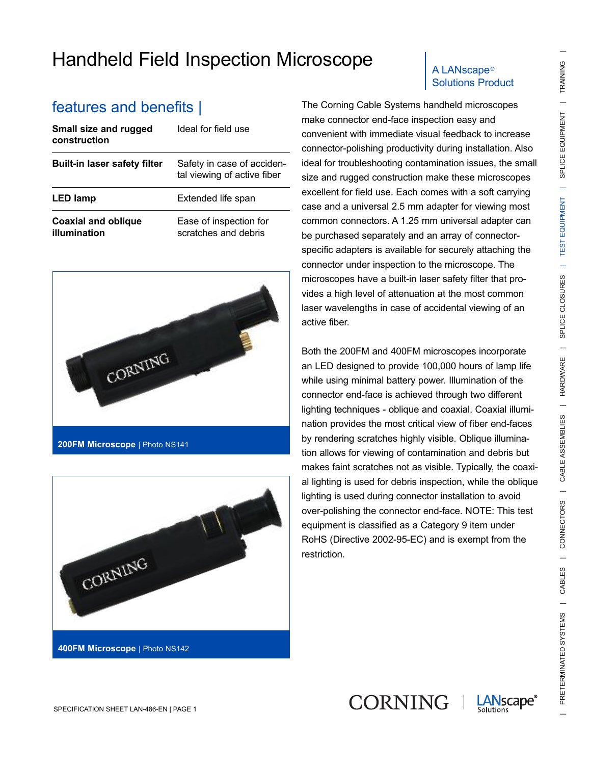## Handheld Field Inspection Microscope | ALANscape®

| Small size and rugged<br>construction      | Ideal for field use                                       |
|--------------------------------------------|-----------------------------------------------------------|
| <b>Built-in laser safety filter</b>        | Safety in case of acciden-<br>tal viewing of active fiber |
| <b>LED lamp</b>                            | Extended life span                                        |
| <b>Coaxial and oblique</b><br>illumination | Ease of inspection for<br>scratches and debris            |





# Solutions Product

features and benefits | The Corning Cable Systems handheld microscopes make connector end-face inspection easy and convenient with immediate visual feedback to increase connector-polishing productivity during installation. Also ideal for troubleshooting contamination issues, the small size and rugged construction make these microscopes excellent for field use. Each comes with a soft carrying case and a universal 2.5 mm adapter for viewing most common connectors. A 1.25 mm universal adapter can be purchased separately and an array of connectorspecific adapters is available for securely attaching the connector under inspection to the microscope. The microscopes have a built-in laser safety filter that provides a high level of attenuation at the most common laser wavelengths in case of accidental viewing of an active fiber.

> Both the 200FM and 400FM microscopes incorporate an LED designed to provide 100,000 hours of lamp life while using minimal battery power. Illumination of the connector end-face is achieved through two different lighting techniques - oblique and coaxial. Coaxial illumination provides the most critical view of fiber end-faces by rendering scratches highly visible. Oblique illumination allows for viewing of contamination and debris but makes faint scratches not as visible. Typically, the coaxial lighting is used for debris inspection, while the oblique lighting is used during connector installation to avoid over-polishing the connector end-face. NOTE: This test equipment is classified as a Category 9 item under RoHS (Directive 2002-95-EC) and is exempt from the restriction.